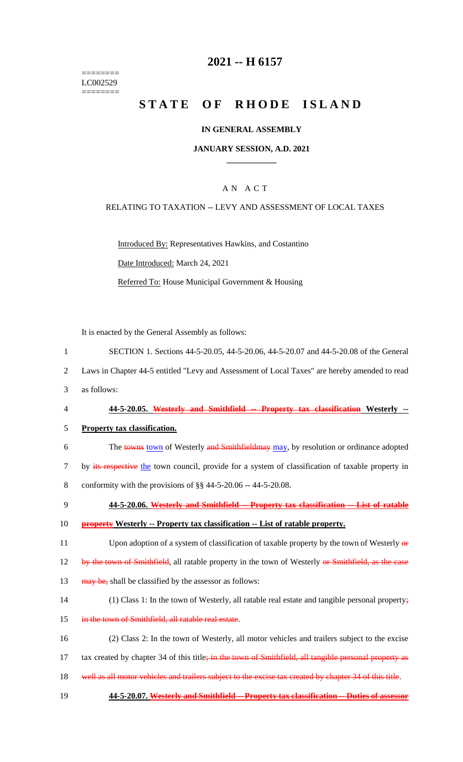======== LC002529  $=$ 

# **2021 -- H 6157**

# **STATE OF RHODE ISLAND**

### **IN GENERAL ASSEMBLY**

#### **JANUARY SESSION, A.D. 2021 \_\_\_\_\_\_\_\_\_\_\_\_**

# A N A C T

#### RELATING TO TAXATION -- LEVY AND ASSESSMENT OF LOCAL TAXES

Introduced By: Representatives Hawkins, and Costantino Date Introduced: March 24, 2021 Referred To: House Municipal Government & Housing

It is enacted by the General Assembly as follows:

| 1              | SECTION 1. Sections 44-5-20.05, 44-5-20.06, 44-5-20.07 and 44-5-20.08 of the General                   |
|----------------|--------------------------------------------------------------------------------------------------------|
| 2              | Laws in Chapter 44-5 entitled "Levy and Assessment of Local Taxes" are hereby amended to read          |
| 3              | as follows:                                                                                            |
| $\overline{4}$ | 44-5-20.05. Westerly and Smithfield -- Property tax classification Westerly --                         |
| 5              | <b>Property tax classification.</b>                                                                    |
| 6              | The towns town of Westerly and Smithfieldmay may, by resolution or ordinance adopted                   |
| $\tau$         | by its respective the town council, provide for a system of classification of taxable property in      |
| 8              | conformity with the provisions of $\S$ § 44-5-20.06 -- 44-5-20.08.                                     |
| 9              | 44-5-20.06. Westerly and Smithfield -- Property tax classification -- List of ratable                  |
| 10             | <b>property</b> Westerly -- Property tax classification -- List of ratable property.                   |
| 11             | Upon adoption of a system of classification of taxable property by the town of Westerly of             |
| 12             | by the town of Smithfield, all ratable property in the town of Westerly or Smithfield, as the case     |
| 13             | may be, shall be classified by the assessor as follows:                                                |
| 14             | (1) Class 1: In the town of Westerly, all ratable real estate and tangible personal property;          |
| 15             | in the town of Smithfield, all ratable real estate.                                                    |
| 16             | (2) Class 2: In the town of Westerly, all motor vehicles and trailers subject to the excise            |
| 17             | tax created by chapter 34 of this title; in the town of Smithfield, all tangible personal property as  |
| 18             | well as all motor vehicles and trailers subject to the excise tax created by chapter 34 of this title. |
| 19             | 44-5-20.07. Westerly and Smithfield -- Property tax classification -- Duties of assessor               |
|                |                                                                                                        |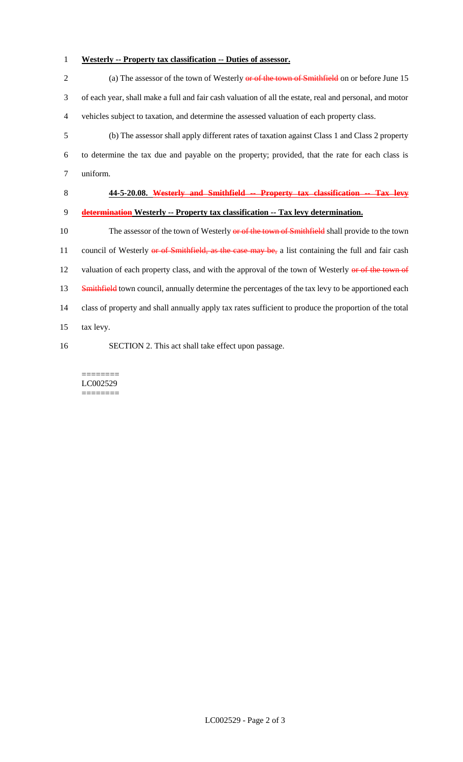# 1 **Westerly -- Property tax classification -- Duties of assessor.**

2 (a) The assessor of the town of Westerly or of the town of Smithfield on or before June 15 3 of each year, shall make a full and fair cash valuation of all the estate, real and personal, and motor 4 vehicles subject to taxation, and determine the assessed valuation of each property class. 5 (b) The assessor shall apply different rates of taxation against Class 1 and Class 2 property 6 to determine the tax due and payable on the property; provided, that the rate for each class is 7 uniform. 8 **44-5-20.08. Westerly and Smithfield -- Property tax classification -- Tax levy**  9 **determination Westerly -- Property tax classification -- Tax levy determination.** 10 The assessor of the town of Westerly or of the town of Smithfield shall provide to the town 11 council of Westerly or of Smithfield, as the case may be, a list containing the full and fair cash 12 valuation of each property class, and with the approval of the town of Westerly or of the town of 13 Smithfield town council, annually determine the percentages of the tax levy to be apportioned each 14 class of property and shall annually apply tax rates sufficient to produce the proportion of the total 15 tax levy. 16 SECTION 2. This act shall take effect upon passage.

======== LC002529 ========